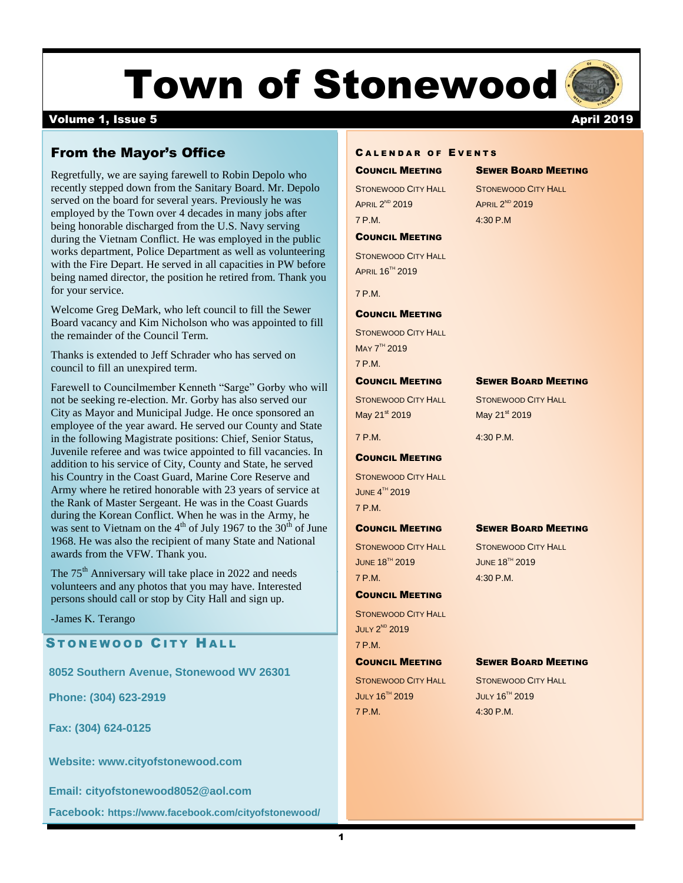# Town of Stonewood

### volume 1, Issue 5 April 2019

# From the Mayor's Office

Regretfully, we are saying farewell to Robin Depolo who recently stepped down from the Sanitary Board. Mr. Depolo served on the board for several years. Previously he was employed by the Town over 4 decades in many jobs after being honorable discharged from the U.S. Navy serving during the Vietnam Conflict. He was employed in the public works department, Police Department as well as volunteering with the Fire Depart. He served in all capacities in PW before being named director, the position he retired from. Thank you for your service.

Welcome Greg DeMark, who left council to fill the Sewer Board vacancy and Kim Nicholson who was appointed to fill the remainder of the Council Term.

Thanks is extended to Jeff Schrader who has served on council to fill an unexpired term.

Farewell to Councilmember Kenneth "Sarge" Gorby who will not be seeking re-election. Mr. Gorby has also served our City as Mayor and Municipal Judge. He once sponsored an employee of the year award. He served our County and State in the following Magistrate positions: Chief, Senior Status, Juvenile referee and was twice appointed to fill vacancies. In addition to his service of City, County and State, he served his Country in the Coast Guard, Marine Core Reserve and Army where he retired honorable with 23 years of service at the Rank of Master Sergeant. He was in the Coast Guards during the Korean Conflict. When he was in the Army, he was sent to Vietnam on the  $4<sup>th</sup>$  of July 1967 to the 30<sup>th</sup> of June 1968. He was also the recipient of many State and National awards from the VFW. Thank you.

The  $75<sup>th</sup>$  Anniversary will take place in 2022 and needs volunteers and any photos that you may have. Interested persons should call or stop by City Hall and sign up.

-James K. Terango

STONEWOOD CITY HALL

8052 Southern Avenue, Stonewood WV 26301

**Phone: (304) 623-2919**

**Fax: (304) 624-0125**

**Website: [www.cityofstonewood.com](http://www.cityofstonewood.com/)**

**Email: [cityofstonewood8052@aol.com](mailto:cityofstonewood8052@aol.com)**

Facebook: https://www.facebook.com/cityofstonewood/ Enforcement experience. A graduate of the 85th basic class.

#### **CALENDAR OF EVENTS**

**APRIL 2<sup>ND</sup> 2019** 7 P.M. 4:30 P.M

#### COUNCIL MEETING

STONEWOOD CITY HALL APRIL 16TH 2019

7 P.M.

#### COUNCIL MEETING

STONEWOOD CITY HALL MAY 7<sup>TH</sup> 2019 7 P.M.

#### COUNCIL MEETING SEWER BOARD MEETING

May 21 $\mathrm{st}$  2019 May 21 $\mathrm{st}$  2019

#### COUNCIL MEETING

STONEWOOD CITY HALL JUNE  $4^{\text{th}}$  2019 7 P.M.

STONEWOOD CITY HALL STONEWOOD CITY HALL **JUNE 18<sup>TH</sup> 2019 JUNE 18<sup>TH</sup> 2019** 7 P.M. 4:30 P.M.

#### COUNCIL MEETING

STONEWOOD CITY HALL **JULY 2<sup>ND</sup> 2019** 7 P.M.

STONEWOOD CITY HALL STONEWOOD CITY HALL **JULY 16<sup>TH</sup> 2019** JULY 16<sup>TH</sup> 2019 7 P.M. 4:30 P.M.

#### COUNCIL MEETING SEWER BOARD MEETING

STONEWOOD CITY HALL STONEWOOD CITY HALL  $\frac{ND}{2019}$   $\frac{2019}{2019}$ 

STONEWOOD CITY HALL STONEWOOD CITY HALL

7 P.M. 4:30 P.M.

#### COUNCIL MEETING SEWER BOARD MEETING

#### COUNCIL MEETING SEWER BOARD MEETING

 $A_{\rm eff}$  materials:  $P_{\rm eff}$  or  $P_{\rm eff}$  or  $P_{\rm eff}$  or  $P_{\rm eff}$  or  $P_{\rm eff}$  or  $P_{\rm eff}$ 

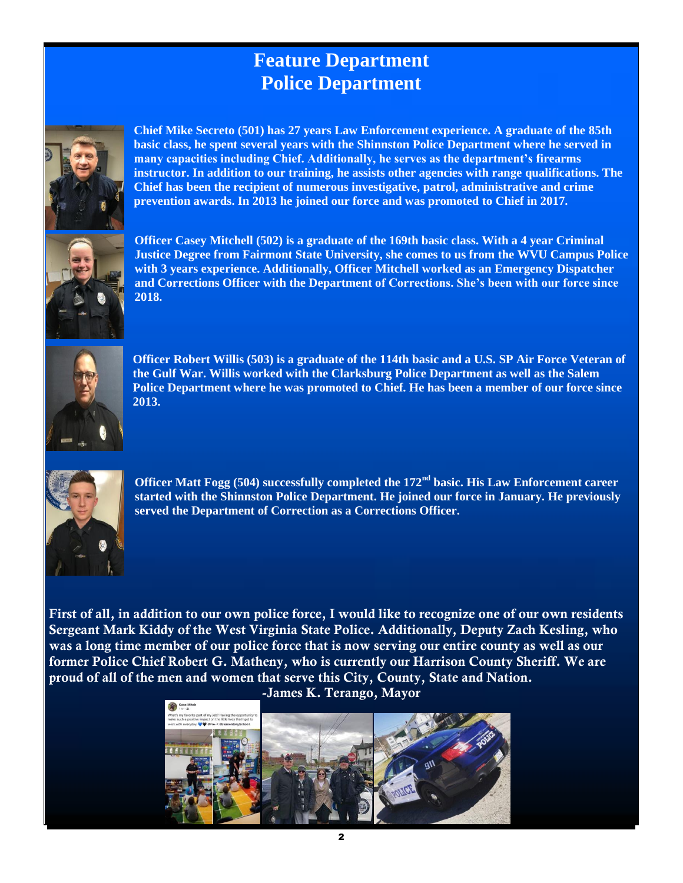# **Feature Department Police Department**



**Chief Mike Secreto (501) has 27 years Law Enforcement experience. A graduate of the 85th basic class, he spent several years with the Shinnston Police Department where he served in many capacities including Chief. Additionally, he serves as the department's firearms instructor. In addition to our training, he assists other agencies with range qualifications. The Chief has been the recipient of numerous investigative, patrol, administrative and crime prevention awards. In 2013 he joined our force and was promoted to Chief in 2017.** 



**Officer Casey Mitchell (502) is a graduate of the 169th basic class. With a 4 year Criminal Justice Degree from Fairmont State University, she comes to us from the WVU Campus Police with 3 years experience. Additionally, Officer Mitchell worked as an Emergency Dispatcher and Corrections Officer with the Department of Corrections. She's been with our force since 2018.** 



**Officer Robert Willis (503) is a graduate of the 114th basic and a U.S. SP Air Force Veteran of the Gulf War. Willis worked with the Clarksburg Police Department as well as the Salem Police Department where he was promoted to Chief. He has been a member of our force since 2013.**



**Officer Matt Fogg (504) successfully completed the 172nd basic. His Law Enforcement career started with the Shinnston Police Department. He joined our force in January. He previously served the Department of Correction as a Corrections Officer.** 

**First of all, in addition to our own police force, I would like to recognize one of our own residents Sergeant Mark Kiddy of the West Virginia State Police. Additionally, Deputy Zach Kesling, who was a long time member of our police force that is now serving our entire county as well as our former Police Chief Robert G. Matheny, who is currently our Harrison County Sheriff. We are proud of all of the men and women that serve this City, County, State and Nation.** 

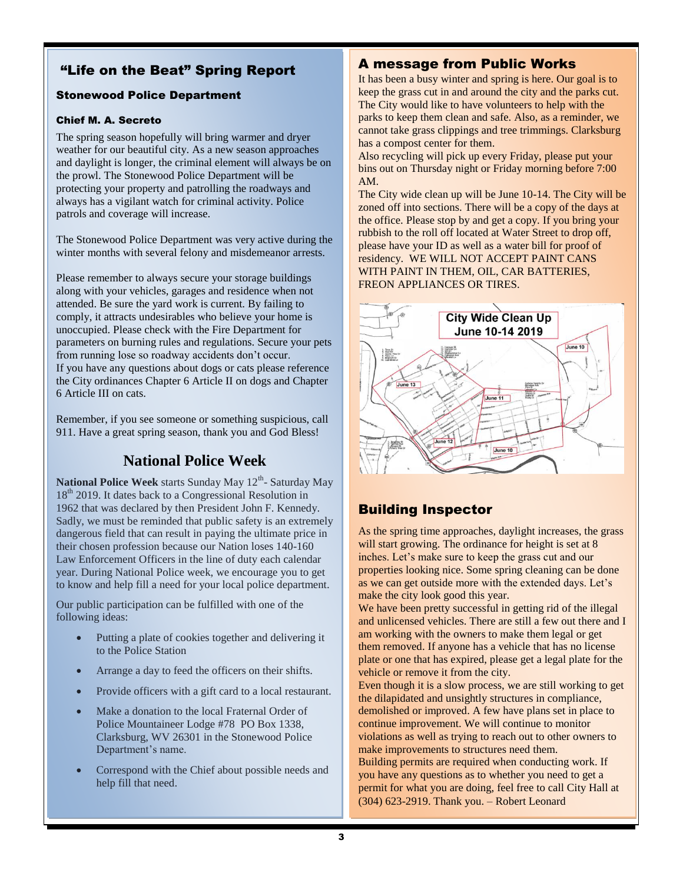# "Life on the Beat" Spring Report

## Stonewood Police Department

#### Chief M. A. Secreto

The spring season hopefully will bring warmer and dryer weather for our beautiful city. As a new season approaches and daylight is longer, the criminal element will always be on the prowl. The Stonewood Police Department will be protecting your property and patrolling the roadways and always has a vigilant watch for criminal activity. Police patrols and coverage will increase.

The Stonewood Police Department was very active during the winter months with several felony and misdemeanor arrests.

Please remember to always secure your storage buildings along with your vehicles, garages and residence when not attended. Be sure the yard work is current. By failing to comply, it attracts undesirables who believe your home is unoccupied. Please check with the Fire Department for parameters on burning rules and regulations. Secure your pets from running lose so roadway accidents don't occur. If you have any questions about dogs or cats please reference the City ordinances Chapter 6 Article II on dogs and Chapter 6 Article III on cats.

Remember, if you see someone or something suspicious, call 911. Have a great spring season, thank you and God Bless!

# **National Police Week**

National Police Week starts Sunday May 12<sup>th</sup>- Saturday May 18<sup>th</sup> 2019. It dates back to a Congressional Resolution in 1962 that was declared by then President John F. Kennedy. Sadly, we must be reminded that public safety is an extremely dangerous field that can result in paying the ultimate price in their chosen profession because our Nation loses 140-160 Law Enforcement Officers in the line of duty each calendar year. During National Police week, we encourage you to get to know and help fill a need for your local police department.

Our public participation can be fulfilled with one of the following ideas:

- Putting a plate of cookies together and delivering it to the Police Station
- Arrange a day to feed the officers on their shifts.
- Provide officers with a gift card to a local restaurant.
- Make a donation to the local Fraternal Order of Police Mountaineer Lodge #78 PO Box 1338, Clarksburg, WV 26301 in the Stonewood Police Department's name.
- Correspond with the Chief about possible needs and help fill that need.

## A message from Public Works

It has been a busy winter and spring is here. Our goal is to keep the grass cut in and around the city and the parks cut. The City would like to have volunteers to help with the parks to keep them clean and safe. Also, as a reminder, we cannot take grass clippings and tree trimmings. Clarksburg has a compost center for them.

Also recycling will pick up every Friday, please put your bins out on Thursday night or Friday morning before 7:00 AM.

The City wide clean up will be June 10-14. The City will be zoned off into sections. There will be a copy of the days at the office. Please stop by and get a copy. If you bring your rubbish to the roll off located at Water Street to drop off, please have your ID as well as a water bill for proof of residency. WE WILL NOT ACCEPT PAINT CANS WITH PAINT IN THEM, OIL, CAR BATTERIES, FREON APPLIANCES OR TIRES.



# Building Inspector

As the spring time approaches, daylight increases, the grass will start growing. The ordinance for height is set at 8 inches. Let's make sure to keep the grass cut and our properties looking nice. Some spring cleaning can be done as we can get outside more with the extended days. Let's make the city look good this year.

We have been pretty successful in getting rid of the illegal and unlicensed vehicles. There are still a few out there and I am working with the owners to make them legal or get them removed. If anyone has a vehicle that has no license plate or one that has expired, please get a legal plate for the vehicle or remove it from the city.

Even though it is a slow process, we are still working to get the dilapidated and unsightly structures in compliance, demolished or improved. A few have plans set in place to continue improvement. We will continue to monitor violations as well as trying to reach out to other owners to make improvements to structures need them.

Building permits are required when conducting work. If you have any questions as to whether you need to get a permit for what you are doing, feel free to call City Hall at (304) 623-2919. Thank you. – Robert Leonard